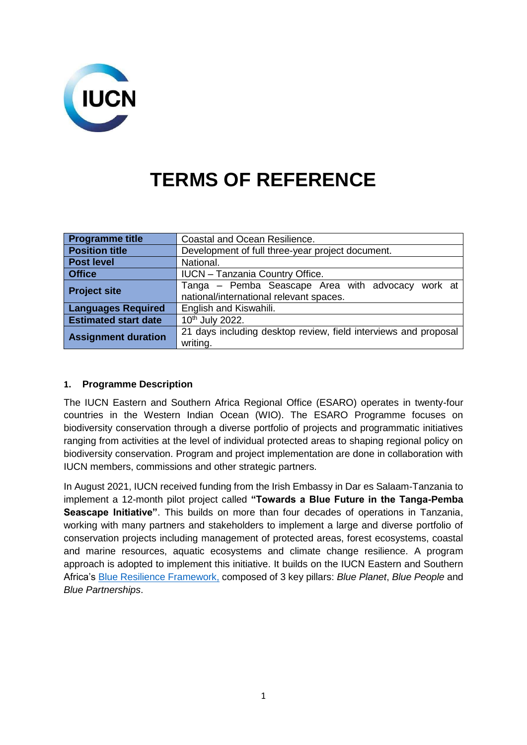

# **TERMS OF REFERENCE**

| <b>Programme title</b>      | Coastal and Ocean Resilience.                                   |  |  |
|-----------------------------|-----------------------------------------------------------------|--|--|
| <b>Position title</b>       | Development of full three-year project document.                |  |  |
| <b>Post level</b>           | National.                                                       |  |  |
| <b>Office</b>               | <b>IUCN</b> - Tanzania Country Office.                          |  |  |
| <b>Project site</b>         | Tanga – Pemba Seascape Area with advocacy work at               |  |  |
|                             | national/international relevant spaces.                         |  |  |
| <b>Languages Required</b>   | English and Kiswahili.                                          |  |  |
| <b>Estimated start date</b> | 10 <sup>th</sup> July 2022.                                     |  |  |
| <b>Assignment duration</b>  | 21 days including desktop review, field interviews and proposal |  |  |
|                             | writing.                                                        |  |  |

# **1. Programme Description**

The IUCN Eastern and Southern Africa Regional Office (ESARO) operates in twenty-four countries in the Western Indian Ocean (WIO). The ESARO Programme focuses on biodiversity conservation through a diverse portfolio of projects and programmatic initiatives ranging from activities at the level of individual protected areas to shaping regional policy on biodiversity conservation. Program and project implementation are done in collaboration with IUCN members, commissions and other strategic partners.

In August 2021, IUCN received funding from the Irish Embassy in Dar es Salaam-Tanzania to implement a 12-month pilot project called **"Towards a Blue Future in the Tanga-Pemba Seascape Initiative"**. This builds on more than four decades of operations in Tanzania, working with many partners and stakeholders to implement a large and diverse portfolio of conservation projects including management of protected areas, forest ecosystems, coastal and marine resources, aquatic ecosystems and climate change resilience. A program approach is adopted to implement this initiative. It builds on the IUCN Eastern and Southern Africa's [Blue Resilience Framework,](https://www.iucn.org/regions/eastern-and-southern-africa/our-work/coastal-and-ocean-resilience) composed of 3 key pillars: *Blue Planet*, *Blue People* and *Blue Partnerships*.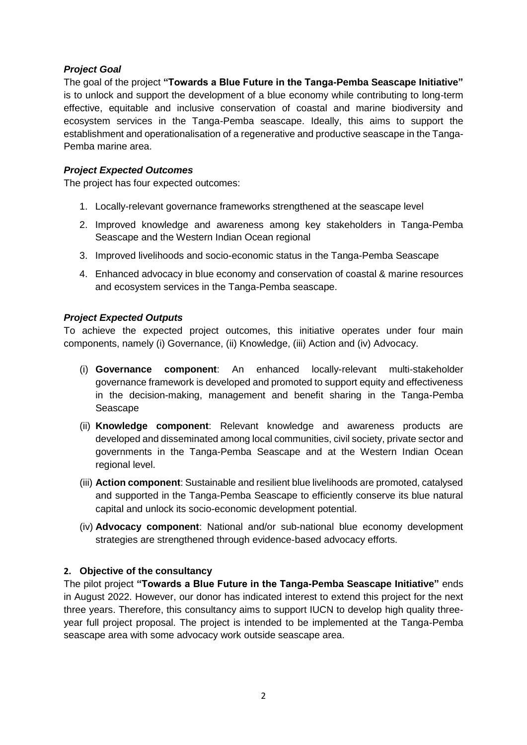# *Project Goal*

The goal of the project **"Towards a Blue Future in the Tanga-Pemba Seascape Initiative"** is to unlock and support the development of a blue economy while contributing to long-term effective, equitable and inclusive conservation of coastal and marine biodiversity and ecosystem services in the Tanga-Pemba seascape. Ideally, this aims to support the establishment and operationalisation of a regenerative and productive seascape in the Tanga-Pemba marine area.

## *Project Expected Outcomes*

The project has four expected outcomes:

- 1. Locally-relevant governance frameworks strengthened at the seascape level
- 2. Improved knowledge and awareness among key stakeholders in Tanga-Pemba Seascape and the Western Indian Ocean regional
- 3. Improved livelihoods and socio-economic status in the Tanga-Pemba Seascape
- 4. Enhanced advocacy in blue economy and conservation of coastal & marine resources and ecosystem services in the Tanga-Pemba seascape.

## *Project Expected Outputs*

To achieve the expected project outcomes, this initiative operates under four main components, namely (i) Governance, (ii) Knowledge, (iii) Action and (iv) Advocacy.

- (i) **Governance component**: An enhanced locally-relevant multi-stakeholder governance framework is developed and promoted to support equity and effectiveness in the decision-making, management and benefit sharing in the Tanga-Pemba Seascape
- (ii) **Knowledge component**: Relevant knowledge and awareness products are developed and disseminated among local communities, civil society, private sector and governments in the Tanga-Pemba Seascape and at the Western Indian Ocean regional level.
- (iii) **Action component**: Sustainable and resilient blue livelihoods are promoted, catalysed and supported in the Tanga-Pemba Seascape to efficiently conserve its blue natural capital and unlock its socio-economic development potential.
- (iv) **Advocacy component**: National and/or sub-national blue economy development strategies are strengthened through evidence-based advocacy efforts.

#### **2. Objective of the consultancy**

The pilot project **"Towards a Blue Future in the Tanga-Pemba Seascape Initiative"** ends in August 2022. However, our donor has indicated interest to extend this project for the next three years. Therefore, this consultancy aims to support IUCN to develop high quality threeyear full project proposal. The project is intended to be implemented at the Tanga-Pemba seascape area with some advocacy work outside seascape area.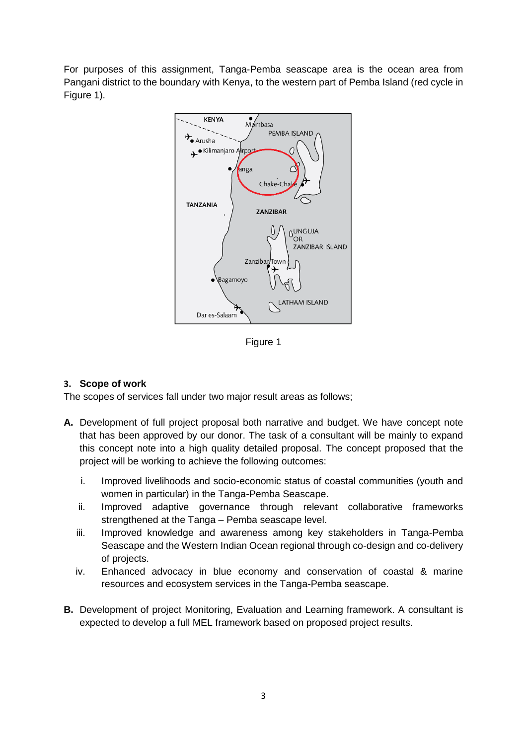For purposes of this assignment, Tanga-Pemba seascape area is the ocean area from Pangani district to the boundary with Kenya, to the western part of Pemba Island (red cycle in Figure 1).



Figure 1

# **3. Scope of work**

The scopes of services fall under two major result areas as follows;

- **A.** Development of full project proposal both narrative and budget. We have concept note that has been approved by our donor. The task of a consultant will be mainly to expand this concept note into a high quality detailed proposal. The concept proposed that the project will be working to achieve the following outcomes:
	- i. Improved livelihoods and socio-economic status of coastal communities (youth and women in particular) in the Tanga-Pemba Seascape.
	- ii. Improved adaptive governance through relevant collaborative frameworks strengthened at the Tanga – Pemba seascape level.
	- iii. Improved knowledge and awareness among key stakeholders in Tanga-Pemba Seascape and the Western Indian Ocean regional through co-design and co-delivery of projects.
	- iv. Enhanced advocacy in blue economy and conservation of coastal & marine resources and ecosystem services in the Tanga-Pemba seascape.
- **B.** Development of project Monitoring, Evaluation and Learning framework. A consultant is expected to develop a full MEL framework based on proposed project results.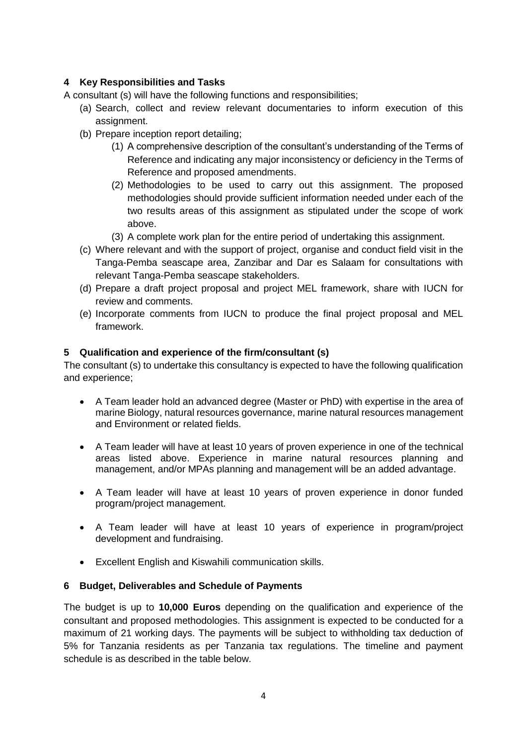# **4 Key Responsibilities and Tasks**

A consultant (s) will have the following functions and responsibilities;

- (a) Search, collect and review relevant documentaries to inform execution of this assignment.
- (b) Prepare inception report detailing;
	- (1) A comprehensive description of the consultant's understanding of the Terms of Reference and indicating any major inconsistency or deficiency in the Terms of Reference and proposed amendments.
	- (2) Methodologies to be used to carry out this assignment. The proposed methodologies should provide sufficient information needed under each of the two results areas of this assignment as stipulated under the scope of work above.
	- (3) A complete work plan for the entire period of undertaking this assignment.
- (c) Where relevant and with the support of project, organise and conduct field visit in the Tanga-Pemba seascape area, Zanzibar and Dar es Salaam for consultations with relevant Tanga-Pemba seascape stakeholders.
- (d) Prepare a draft project proposal and project MEL framework, share with IUCN for review and comments.
- (e) Incorporate comments from IUCN to produce the final project proposal and MEL framework.

# **5 Qualification and experience of the firm/consultant (s)**

The consultant (s) to undertake this consultancy is expected to have the following qualification and experience;

- A Team leader hold an advanced degree (Master or PhD) with expertise in the area of marine Biology, natural resources governance, marine natural resources management and Environment or related fields.
- A Team leader will have at least 10 years of proven experience in one of the technical areas listed above. Experience in marine natural resources planning and management, and/or MPAs planning and management will be an added advantage.
- A Team leader will have at least 10 years of proven experience in donor funded program/project management.
- A Team leader will have at least 10 years of experience in program/project development and fundraising.
- Excellent English and Kiswahili communication skills.

# **6 Budget, Deliverables and Schedule of Payments**

The budget is up to **10,000 Euros** depending on the qualification and experience of the consultant and proposed methodologies. This assignment is expected to be conducted for a maximum of 21 working days. The payments will be subject to withholding tax deduction of 5% for Tanzania residents as per Tanzania tax regulations. The timeline and payment schedule is as described in the table below.